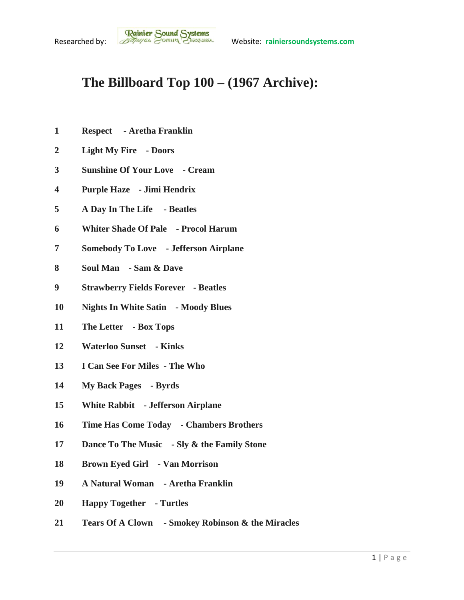## **The Billboard Top 100 – (1967 Archive):**

- **Respect - Aretha Franklin**
- **Light My Fire - Doors**
- **Sunshine Of Your Love - Cream**
- **Purple Haze - Jimi Hendrix**
- **A Day In The Life - Beatles**
- **Whiter Shade Of Pale - Procol Harum**
- **Somebody To Love - Jefferson Airplane**
- **Soul Man - Sam & Dave**
- **Strawberry Fields Forever - Beatles**
- **Nights In White Satin - Moody Blues**
- **The Letter - Box Tops**
- **Waterloo Sunset - Kinks**
- **I Can See For Miles - The Who**
- **My Back Pages - Byrds**
- **White Rabbit - Jefferson Airplane**
- **Time Has Come Today - Chambers Brothers**
- **Dance To The Music - Sly & the Family Stone**
- **Brown Eyed Girl - Van Morrison**
- **A Natural Woman - Aretha Franklin**
- **Happy Together - Turtles**
- **Tears Of A Clown - Smokey Robinson & the Miracles**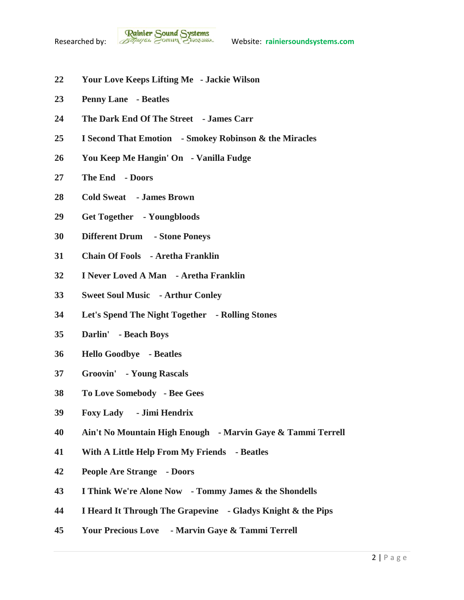- **Your Love Keeps Lifting Me - Jackie Wilson**
- **Penny Lane - Beatles**
- **The Dark End Of The Street - James Carr**
- **I Second That Emotion - Smokey Robinson & the Miracles**
- **You Keep Me Hangin' On - Vanilla Fudge**
- **The End - Doors**
- **Cold Sweat - James Brown**
- **Get Together - Youngbloods**
- **Different Drum - Stone Poneys**
- **Chain Of Fools - Aretha Franklin**
- **I Never Loved A Man - Aretha Franklin**
- **Sweet Soul Music - Arthur Conley**
- **Let's Spend The Night Together - Rolling Stones**
- **Darlin' - Beach Boys**
- **Hello Goodbye - Beatles**
- **Groovin' - Young Rascals**
- **To Love Somebody - Bee Gees**
- **Foxy Lady - Jimi Hendrix**
- **Ain't No Mountain High Enough - Marvin Gaye & Tammi Terrell**
- **With A Little Help From My Friends - Beatles**
- **People Are Strange - Doors**
- **I Think We're Alone Now - Tommy James & the Shondells**
- **I Heard It Through The Grapevine - Gladys Knight & the Pips**
- **Your Precious Love - Marvin Gaye & Tammi Terrell**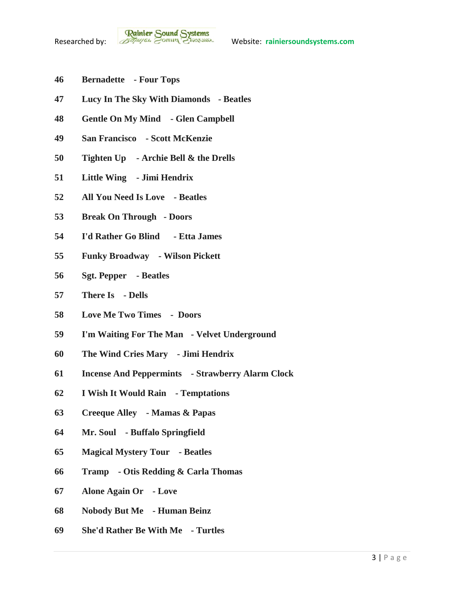- **Bernadette - Four Tops**
- **Lucy In The Sky With Diamonds - Beatles**
- **Gentle On My Mind - Glen Campbell**
- **San Francisco - Scott McKenzie**
- **Tighten Up - Archie Bell & the Drells**
- **Little Wing - Jimi Hendrix**
- **All You Need Is Love - Beatles**
- **Break On Through - Doors**
- **I'd Rather Go Blind - Etta James**
- **Funky Broadway - Wilson Pickett**
- **Sgt. Pepper - Beatles**
- **There Is - Dells**
- **Love Me Two Times - Doors**
- **I'm Waiting For The Man - Velvet Underground**
- **The Wind Cries Mary - Jimi Hendrix**
- **Incense And Peppermints - Strawberry Alarm Clock**
- **I Wish It Would Rain - Temptations**
- **Creeque Alley - Mamas & Papas**
- **Mr. Soul - Buffalo Springfield**
- **Magical Mystery Tour - Beatles**
- **Tramp - Otis Redding & Carla Thomas**
- **Alone Again Or - Love**
- **Nobody But Me - Human Beinz**
- **She'd Rather Be With Me - Turtles**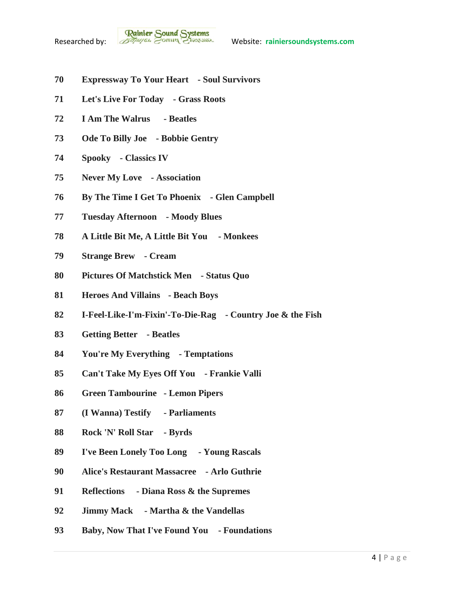

- **Expressway To Your Heart - Soul Survivors**
- **Let's Live For Today - Grass Roots**
- **I Am The Walrus - Beatles**
- **Ode To Billy Joe - Bobbie Gentry**
- **Spooky - Classics IV**
- **Never My Love - Association**
- **By The Time I Get To Phoenix - Glen Campbell**
- **Tuesday Afternoon - Moody Blues**
- **A Little Bit Me, A Little Bit You - Monkees**
- **Strange Brew - Cream**
- **Pictures Of Matchstick Men - Status Quo**
- **Heroes And Villains - Beach Boys**
- **I-Feel-Like-I'm-Fixin'-To-Die-Rag - Country Joe & the Fish**
- **Getting Better - Beatles**
- **You're My Everything - Temptations**
- **Can't Take My Eyes Off You - Frankie Valli**
- **Green Tambourine - Lemon Pipers**
- **(I Wanna) Testify - Parliaments**
- **Rock 'N' Roll Star - Byrds**
- **I've Been Lonely Too Long - Young Rascals**
- **Alice's Restaurant Massacree - Arlo Guthrie**
- **Reflections - Diana Ross & the Supremes**
- **Jimmy Mack - Martha & the Vandellas**
- **Baby, Now That I've Found You - Foundations**